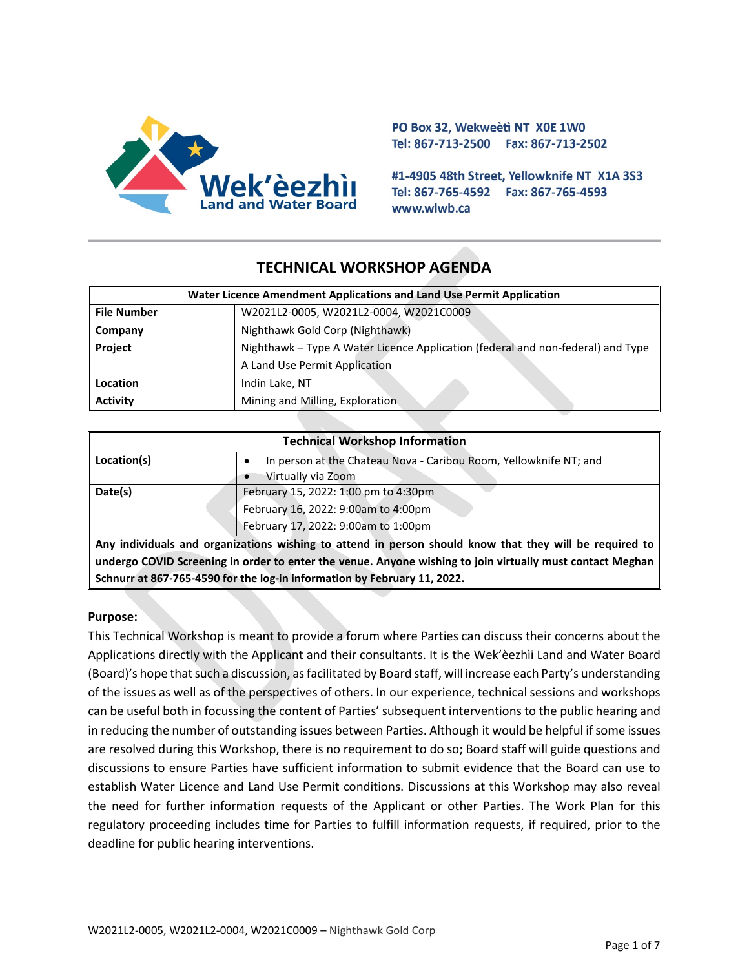

PO Box 32, Wekweeti NT X0E 1W0 Tel: 867-713-2500 Fax: 867-713-2502

#1-4905 48th Street, Yellowknife NT X1A 3S3 Tel: 867-765-4592 Fax: 867-765-4593 www.wlwb.ca

# **TECHNICAL WORKSHOP AGENDA**

| Water Licence Amendment Applications and Land Use Permit Application |                                                                                 |  |
|----------------------------------------------------------------------|---------------------------------------------------------------------------------|--|
| <b>File Number</b>                                                   | W2021L2-0005, W2021L2-0004, W2021C0009                                          |  |
| Company                                                              | Nighthawk Gold Corp (Nighthawk)                                                 |  |
| Project                                                              | Nighthawk – Type A Water Licence Application (federal and non-federal) and Type |  |
|                                                                      | A Land Use Permit Application                                                   |  |
| Location                                                             | Indin Lake, NT                                                                  |  |
| <b>Activity</b>                                                      | Mining and Milling, Exploration.                                                |  |

| <b>Technical Workshop Information</b>                                                                     |                                                                   |  |  |
|-----------------------------------------------------------------------------------------------------------|-------------------------------------------------------------------|--|--|
| Location(s)                                                                                               | In person at the Chateau Nova - Caribou Room, Yellowknife NT; and |  |  |
|                                                                                                           | Virtually via Zoom                                                |  |  |
| Date(s)                                                                                                   | February 15, 2022: 1:00 pm to 4:30pm                              |  |  |
|                                                                                                           | February 16, 2022: 9:00am to 4:00pm                               |  |  |
|                                                                                                           | February 17, 2022: 9:00am to 1:00pm                               |  |  |
| Any individuals and organizations wishing to attend in person should know that they will be required to   |                                                                   |  |  |
| undergo COVID Screening in order to enter the venue. Anyone wishing to join virtually must contact Meghan |                                                                   |  |  |
| Schnurr at 867-765-4590 for the log-in information by February 11, 2022.                                  |                                                                   |  |  |

#### **Purpose:**

This Technical Workshop is meant to provide a forum where Parties can discuss their concerns about the Applications directly with the Applicant and their consultants. It is the Wek'èezhìi Land and Water Board (Board)'s hope that such a discussion, as facilitated by Board staff, will increase each Party's understanding of the issues as well as of the perspectives of others. In our experience, technical sessions and workshops can be useful both in focussing the content of Parties' subsequent interventions to the public hearing and in reducing the number of outstanding issues between Parties. Although it would be helpful if some issues are resolved during this Workshop, there is no requirement to do so; Board staff will guide questions and discussions to ensure Parties have sufficient information to submit evidence that the Board can use to establish Water Licence and Land Use Permit conditions. Discussions at this Workshop may also reveal the need for further information requests of the Applicant or other Parties. The Work Plan for this regulatory proceeding includes time for Parties to fulfill information requests, if required, prior to the deadline for public hearing interventions.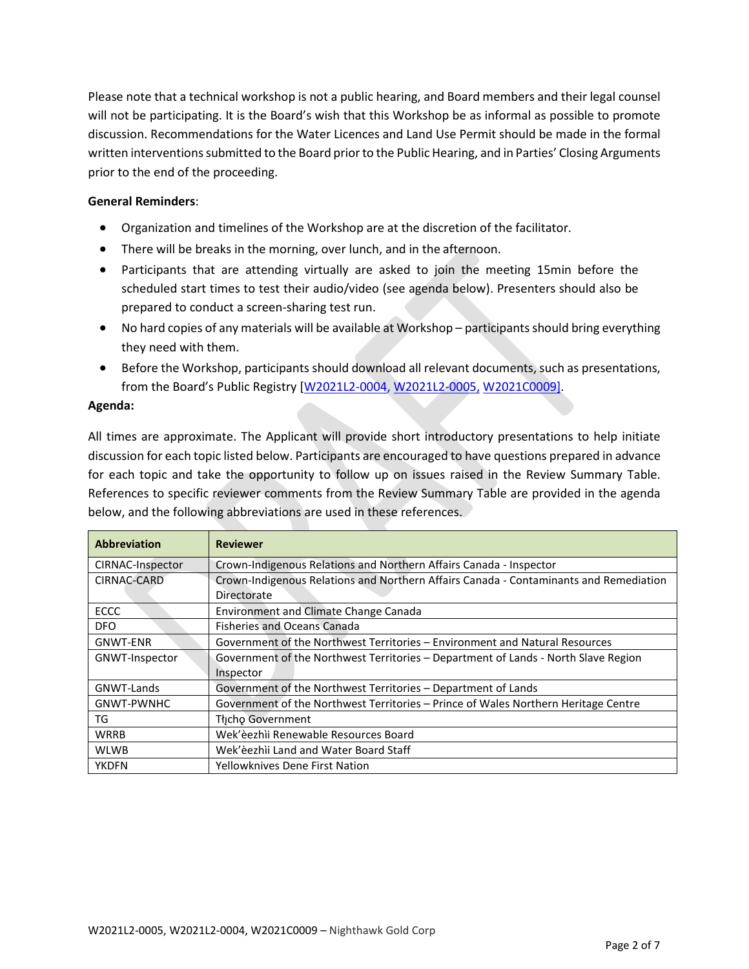Please note that a technical workshop is not a public hearing, and Board members and their legal counsel will not be participating. It is the Board's wish that this Workshop be as informal as possible to promote discussion. Recommendations for the Water Licences and Land Use Permit should be made in the formal written interventions submitted to the Board prior to the Public Hearing, and in Parties' Closing Arguments prior to the end of the proceeding.

### **General Reminders**:

- Organization and timelines of the Workshop are at the discretion of the facilitator.
- There will be breaks in the morning, over lunch, and in the afternoon.
- Participants that are attending virtually are asked to join the meeting 15min before the scheduled start times to test their audio/video (see agenda below). Presenters should also be prepared to conduct a screen-sharing test run.
- No hard copies of any materials will be available at Workshop participants should bring everything they need with them.
- Before the Workshop, participants should download all relevant documents, such as presentations, from the Board's Public Registry [\[W2021L2-0004,](https://wlwb.ca/registry/W2021L2-0005) W2021L2-0005, [W2021C0009\].](https://wlwb.ca/registry/W2021L2-0005)

#### **Agenda:**

All times are approximate. The Applicant will provide short introductory presentations to help initiate discussion for each topic listed below. Participants are encouraged to have questions prepared in advance for each topic and take the opportunity to follow up on issues raised in the Review Summary Table. References to specific reviewer comments from the Review Summary Table are provided in the agenda below, and the following abbreviations are used in these references.

| <b>Abbreviation</b> | <b>Reviewer</b>                                                                       |  |
|---------------------|---------------------------------------------------------------------------------------|--|
| CIRNAC-Inspector    | Crown-Indigenous Relations and Northern Affairs Canada - Inspector                    |  |
| CIRNAC-CARD         | Crown-Indigenous Relations and Northern Affairs Canada - Contaminants and Remediation |  |
|                     | Directorate                                                                           |  |
| <b>ECCC</b>         | Environment and Climate Change Canada                                                 |  |
| <b>DFO</b>          | <b>Fisheries and Oceans Canada</b>                                                    |  |
| <b>GNWT-ENR</b>     | Government of the Northwest Territories - Environment and Natural Resources           |  |
| GNWT-Inspector      | Government of the Northwest Territories – Department of Lands - North Slave Region    |  |
|                     | Inspector                                                                             |  |
| GNWT-Lands          | Government of the Northwest Territories - Department of Lands                         |  |
| GNWT-PWNHC          | Government of the Northwest Territories – Prince of Wales Northern Heritage Centre    |  |
| TG                  | Thcho Government                                                                      |  |
| <b>WRRB</b>         | Wek'èezhìi Renewable Resources Board                                                  |  |
| <b>WLWB</b>         | Wek'èezhìi Land and Water Board Staff                                                 |  |
| <b>YKDFN</b>        | Yellowknives Dene First Nation                                                        |  |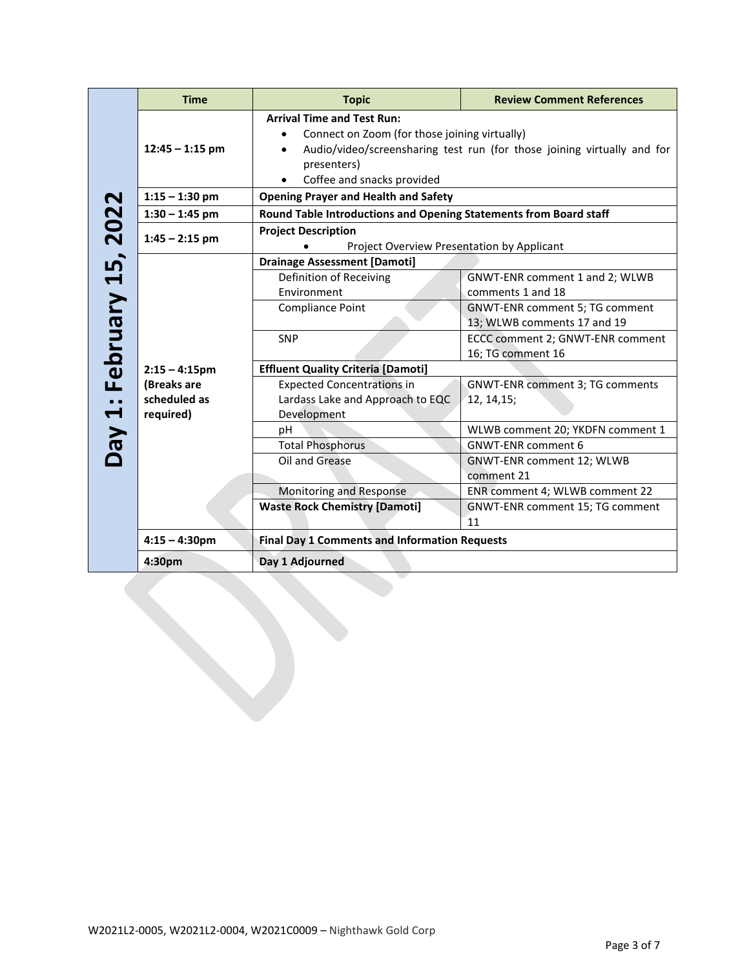|                                 | <b>Time</b>                              | <b>Topic</b>                                                                                                                                              | <b>Review Comment References</b>                                                          |  |
|---------------------------------|------------------------------------------|-----------------------------------------------------------------------------------------------------------------------------------------------------------|-------------------------------------------------------------------------------------------|--|
|                                 | $12:45 - 1:15$ pm                        | <b>Arrival Time and Test Run:</b><br>Connect on Zoom (for those joining virtually)<br>$\bullet$<br>presenters)<br>Coffee and snacks provided<br>$\bullet$ | Audio/video/screensharing test run (for those joining virtually and for                   |  |
|                                 | $1:15 - 1:30$ pm                         | <b>Opening Prayer and Health and Safety</b>                                                                                                               |                                                                                           |  |
|                                 | $1:30 - 1:45$ pm                         | Round Table Introductions and Opening Statements from Board staff                                                                                         |                                                                                           |  |
|                                 | $1:45 - 2:15$ pm                         | <b>Project Description</b><br>Project Overview Presentation by Applicant<br>٠                                                                             |                                                                                           |  |
|                                 |                                          | <b>Drainage Assessment [Damoti]</b>                                                                                                                       |                                                                                           |  |
|                                 |                                          | Definition of Receiving                                                                                                                                   | GNWT-ENR comment 1 and 2; WLWB                                                            |  |
| <b>Day 1: February 15, 2022</b> |                                          | Environment<br>Compliance Point                                                                                                                           | comments 1 and 18<br><b>GNWT-ENR comment 5; TG comment</b><br>13; WLWB comments 17 and 19 |  |
|                                 |                                          | <b>SNP</b>                                                                                                                                                | ECCC comment 2; GNWT-ENR comment<br>16; TG comment 16                                     |  |
|                                 | $2:15 - 4:15$ pm                         | <b>Effluent Quality Criteria [Damoti]</b>                                                                                                                 |                                                                                           |  |
|                                 | (Breaks are<br>scheduled as<br>required) | <b>Expected Concentrations in</b><br>Lardass Lake and Approach to EQC<br>Development                                                                      | <b>GNWT-ENR comment 3; TG comments</b><br>12, 14, 15;                                     |  |
|                                 |                                          | рH                                                                                                                                                        | WLWB comment 20; YKDFN comment 1                                                          |  |
|                                 |                                          | <b>Total Phosphorus</b>                                                                                                                                   | <b>GNWT-ENR comment 6</b>                                                                 |  |
|                                 |                                          | Oil and Grease                                                                                                                                            | GNWT-ENR comment 12; WLWB<br>comment 21                                                   |  |
|                                 |                                          | Monitoring and Response                                                                                                                                   | ENR comment 4; WLWB comment 22                                                            |  |
|                                 |                                          | <b>Waste Rock Chemistry [Damoti]</b>                                                                                                                      | GNWT-ENR comment 15; TG comment<br>11                                                     |  |
|                                 | $4:15 - 4:30$ pm                         | <b>Final Day 1 Comments and Information Requests</b>                                                                                                      |                                                                                           |  |
|                                 | 4:30pm                                   | Day 1 Adjourned                                                                                                                                           |                                                                                           |  |
|                                 |                                          |                                                                                                                                                           |                                                                                           |  |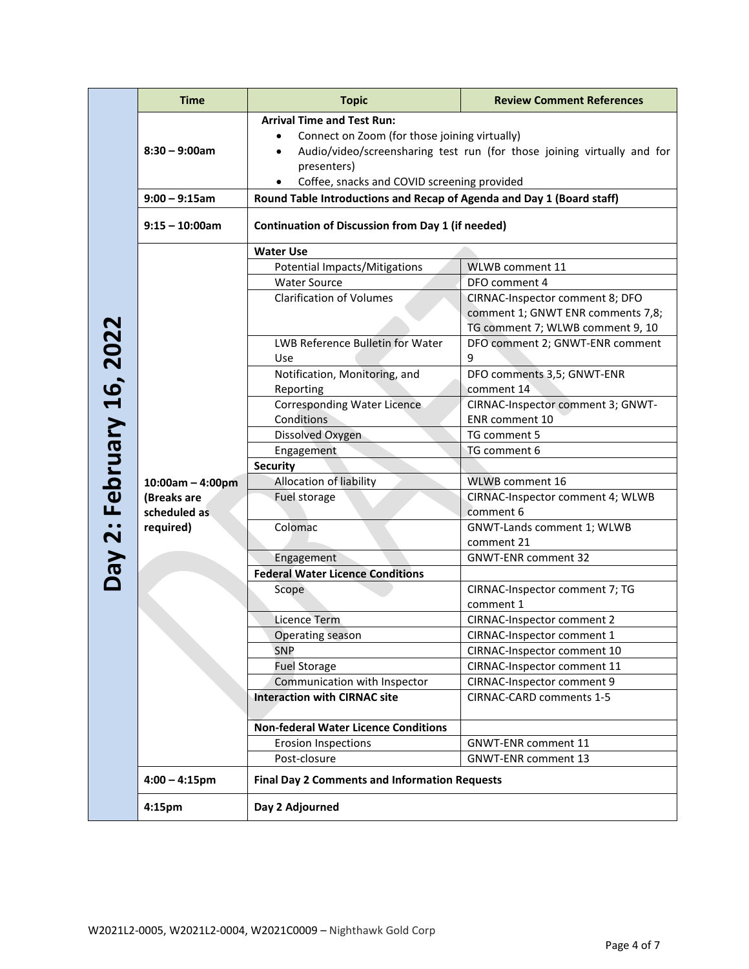|                                 | <b>Time</b>                                                    | <b>Topic</b>                                                                                                                                                                                                                | <b>Review Comment References</b>                                                                         |  |
|---------------------------------|----------------------------------------------------------------|-----------------------------------------------------------------------------------------------------------------------------------------------------------------------------------------------------------------------------|----------------------------------------------------------------------------------------------------------|--|
|                                 | $8:30 - 9:00am$                                                | <b>Arrival Time and Test Run:</b><br>Connect on Zoom (for those joining virtually)<br>Audio/video/screensharing test run (for those joining virtually and for<br>presenters)<br>Coffee, snacks and COVID screening provided |                                                                                                          |  |
|                                 | $9:00 - 9:15$ am                                               | Round Table Introductions and Recap of Agenda and Day 1 (Board staff)                                                                                                                                                       |                                                                                                          |  |
|                                 | $9:15 - 10:00am$                                               | <b>Continuation of Discussion from Day 1 (if needed)</b>                                                                                                                                                                    |                                                                                                          |  |
|                                 |                                                                | <b>Water Use</b>                                                                                                                                                                                                            |                                                                                                          |  |
|                                 |                                                                | <b>Potential Impacts/Mitigations</b>                                                                                                                                                                                        | WLWB comment 11                                                                                          |  |
|                                 |                                                                | <b>Water Source</b>                                                                                                                                                                                                         | DFO comment 4                                                                                            |  |
| <b>Day 2: February 16, 2022</b> |                                                                | <b>Clarification of Volumes</b>                                                                                                                                                                                             | CIRNAC-Inspector comment 8; DFO<br>comment 1; GNWT ENR comments 7,8;<br>TG comment 7; WLWB comment 9, 10 |  |
|                                 |                                                                | LWB Reference Bulletin for Water<br>Use                                                                                                                                                                                     | DFO comment 2; GNWT-ENR comment<br>9                                                                     |  |
|                                 |                                                                | Notification, Monitoring, and<br>Reporting                                                                                                                                                                                  | DFO comments 3,5; GNWT-ENR<br>comment 14                                                                 |  |
|                                 |                                                                | <b>Corresponding Water Licence</b>                                                                                                                                                                                          | CIRNAC-Inspector comment 3; GNWT-                                                                        |  |
|                                 |                                                                | Conditions                                                                                                                                                                                                                  | ENR comment 10                                                                                           |  |
|                                 |                                                                | Dissolved Oxygen                                                                                                                                                                                                            | TG comment 5                                                                                             |  |
|                                 |                                                                | Engagement                                                                                                                                                                                                                  | TG comment 6                                                                                             |  |
|                                 | $10:00am - 4:00pm$<br>(Breaks are<br>scheduled as<br>required) | <b>Security</b>                                                                                                                                                                                                             |                                                                                                          |  |
|                                 |                                                                | Allocation of liability                                                                                                                                                                                                     | WLWB comment 16                                                                                          |  |
|                                 |                                                                | Fuel storage                                                                                                                                                                                                                | CIRNAC-Inspector comment 4; WLWB<br>comment 6                                                            |  |
|                                 |                                                                | Colomac                                                                                                                                                                                                                     | GNWT-Lands comment 1; WLWB<br>comment 21                                                                 |  |
|                                 |                                                                | Engagement                                                                                                                                                                                                                  | <b>GNWT-ENR comment 32</b>                                                                               |  |
|                                 |                                                                | <b>Federal Water Licence Conditions</b>                                                                                                                                                                                     |                                                                                                          |  |
|                                 |                                                                | Scope                                                                                                                                                                                                                       | CIRNAC-Inspector comment 7; TG<br>comment 1                                                              |  |
|                                 |                                                                | Licence Term                                                                                                                                                                                                                | CIRNAC-Inspector comment 2                                                                               |  |
|                                 |                                                                | Operating season                                                                                                                                                                                                            | CIRNAC-Inspector comment 1                                                                               |  |
|                                 |                                                                | <b>SNP</b>                                                                                                                                                                                                                  | CIRNAC-Inspector comment 10                                                                              |  |
|                                 |                                                                | <b>Fuel Storage</b>                                                                                                                                                                                                         | CIRNAC-Inspector comment 11                                                                              |  |
|                                 |                                                                | Communication with Inspector                                                                                                                                                                                                | CIRNAC-Inspector comment 9                                                                               |  |
|                                 |                                                                | <b>Interaction with CIRNAC site</b>                                                                                                                                                                                         | CIRNAC-CARD comments 1-5                                                                                 |  |
|                                 |                                                                | <b>Non-federal Water Licence Conditions</b>                                                                                                                                                                                 |                                                                                                          |  |
|                                 |                                                                | <b>Erosion Inspections</b>                                                                                                                                                                                                  | <b>GNWT-ENR comment 11</b>                                                                               |  |
|                                 |                                                                | Post-closure                                                                                                                                                                                                                | <b>GNWT-ENR comment 13</b>                                                                               |  |
|                                 | $4:00 - 4:15$ pm                                               | <b>Final Day 2 Comments and Information Requests</b>                                                                                                                                                                        |                                                                                                          |  |
|                                 | 4:15pm                                                         | Day 2 Adjourned                                                                                                                                                                                                             |                                                                                                          |  |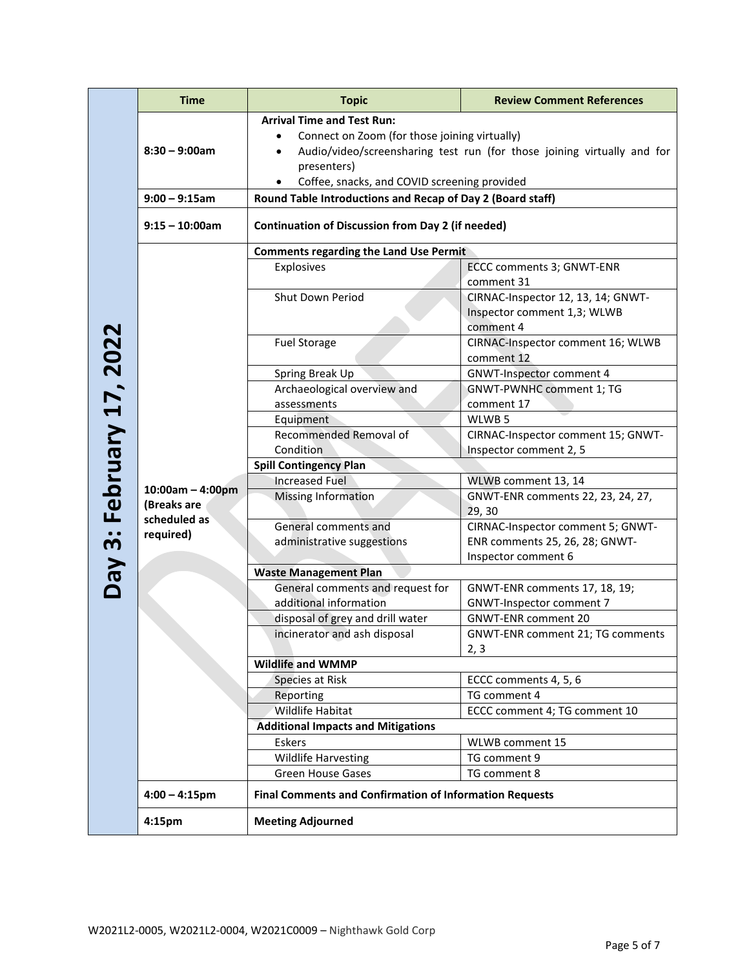|                      | <b>Time</b>                              | <b>Topic</b>                                                                                                                                                                                                                 | <b>Review Comment References</b>                                               |  |
|----------------------|------------------------------------------|------------------------------------------------------------------------------------------------------------------------------------------------------------------------------------------------------------------------------|--------------------------------------------------------------------------------|--|
|                      | $8:30 - 9:00am$                          | <b>Arrival Time and Test Run:</b><br>Connect on Zoom (for those joining virtually)<br>Audio/video/screensharing test run (for those joining virtually and for<br>presenters)<br>Coffee, snacks, and COVID screening provided |                                                                                |  |
|                      | $9:00 - 9:15$ am                         | Round Table Introductions and Recap of Day 2 (Board staff)                                                                                                                                                                   |                                                                                |  |
|                      | $9:15 - 10:00am$                         | <b>Continuation of Discussion from Day 2 (if needed)</b>                                                                                                                                                                     |                                                                                |  |
|                      |                                          | <b>Comments regarding the Land Use Permit</b>                                                                                                                                                                                |                                                                                |  |
|                      |                                          | Explosives                                                                                                                                                                                                                   | ECCC comments 3; GNWT-ENR<br>comment 31                                        |  |
| 3: February 17, 2022 |                                          | Shut Down Period                                                                                                                                                                                                             | CIRNAC-Inspector 12, 13, 14; GNWT-<br>Inspector comment 1,3; WLWB<br>comment 4 |  |
|                      |                                          | <b>Fuel Storage</b>                                                                                                                                                                                                          | CIRNAC-Inspector comment 16; WLWB<br>comment 12                                |  |
|                      |                                          | Spring Break Up                                                                                                                                                                                                              | <b>GNWT-Inspector comment 4</b>                                                |  |
|                      |                                          | Archaeological overview and                                                                                                                                                                                                  | GNWT-PWNHC comment 1; TG                                                       |  |
|                      |                                          | assessments                                                                                                                                                                                                                  | comment 17                                                                     |  |
|                      |                                          | Equipment                                                                                                                                                                                                                    | WLWB <sub>5</sub>                                                              |  |
|                      |                                          | Recommended Removal of                                                                                                                                                                                                       | CIRNAC-Inspector comment 15; GNWT-                                             |  |
|                      |                                          | Condition                                                                                                                                                                                                                    | Inspector comment 2, 5                                                         |  |
|                      |                                          | <b>Spill Contingency Plan</b>                                                                                                                                                                                                |                                                                                |  |
|                      | $10:00am - 4:00pm$                       | <b>Increased Fuel</b>                                                                                                                                                                                                        | WLWB comment 13, 14                                                            |  |
|                      | (Breaks are<br>scheduled as<br>required) | <b>Missing Information</b>                                                                                                                                                                                                   | GNWT-ENR comments 22, 23, 24, 27,<br>29, 30                                    |  |
|                      |                                          | General comments and                                                                                                                                                                                                         | CIRNAC-Inspector comment 5; GNWT-                                              |  |
|                      |                                          | administrative suggestions                                                                                                                                                                                                   | ENR comments 25, 26, 28; GNWT-<br>Inspector comment 6                          |  |
|                      |                                          | <b>Waste Management Plan</b>                                                                                                                                                                                                 |                                                                                |  |
| VeQ                  |                                          | General comments and request for                                                                                                                                                                                             | GNWT-ENR comments 17, 18, 19;                                                  |  |
|                      |                                          | additional information                                                                                                                                                                                                       | <b>GNWT-Inspector comment 7</b>                                                |  |
|                      |                                          | disposal of grey and drill water                                                                                                                                                                                             | <b>GNWT-ENR comment 20</b>                                                     |  |
|                      |                                          | incinerator and ash disposal                                                                                                                                                                                                 | <b>GNWT-ENR comment 21; TG comments</b><br>2, 3                                |  |
|                      |                                          | <b>Wildlife and WMMP</b>                                                                                                                                                                                                     |                                                                                |  |
|                      |                                          | Species at Risk                                                                                                                                                                                                              | ECCC comments 4, 5, 6                                                          |  |
|                      |                                          | Reporting                                                                                                                                                                                                                    | TG comment 4                                                                   |  |
|                      |                                          | <b>Wildlife Habitat</b>                                                                                                                                                                                                      | ECCC comment 4; TG comment 10                                                  |  |
|                      |                                          | <b>Additional Impacts and Mitigations</b>                                                                                                                                                                                    |                                                                                |  |
|                      |                                          | <b>Eskers</b>                                                                                                                                                                                                                | WLWB comment 15                                                                |  |
|                      |                                          | Wildlife Harvesting                                                                                                                                                                                                          | TG comment 9                                                                   |  |
|                      |                                          | <b>Green House Gases</b>                                                                                                                                                                                                     | TG comment 8                                                                   |  |
|                      | $4:00 - 4:15$ pm                         | <b>Final Comments and Confirmation of Information Requests</b>                                                                                                                                                               |                                                                                |  |
|                      | 4:15pm                                   | <b>Meeting Adjourned</b>                                                                                                                                                                                                     |                                                                                |  |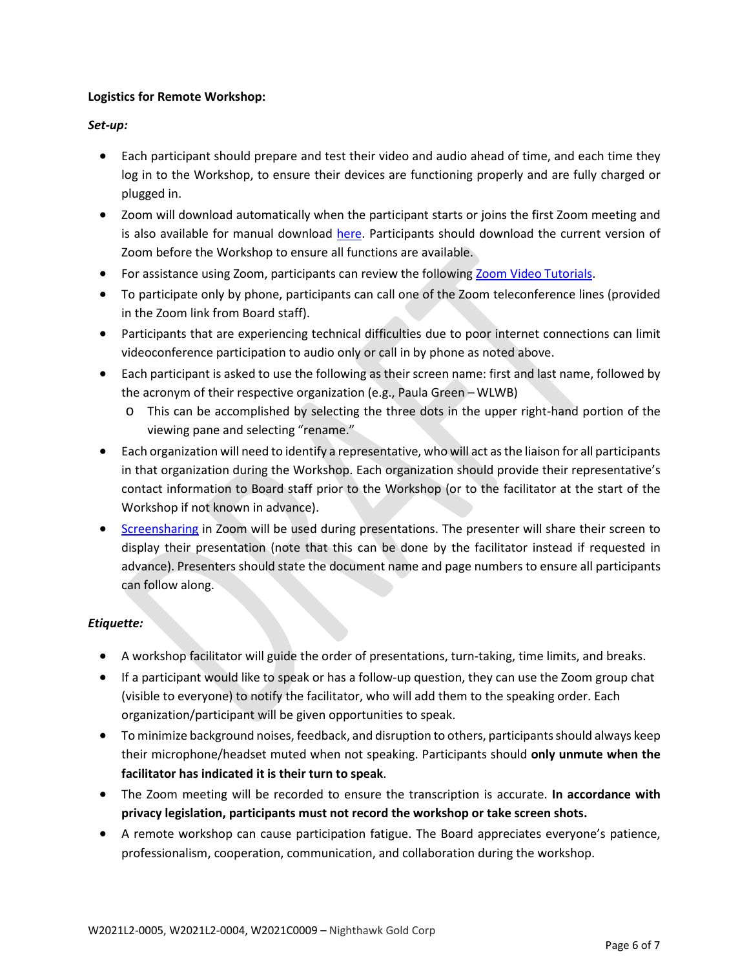### **Logistics for Remote Workshop:**

## *Set-up:*

- Each participant should prepare and test their video and audio ahead of time, and each time they log in to the Workshop, to ensure their devices are functioning properly and are fully charged or plugged in.
- Zoom will download automatically when the participant starts or joins the first Zoom meeting and is also available for manual download [here.](https://zoom.us/client/latest/ZoomInstaller.exe) Participants should download the current version of Zoom before the Workshop to ensure all functions are available.
- For assistance using Zoom, participants can review the following [Zoom Video](https://support.zoom.us/hc/en-us/articles/206618765-Zoom-Video-Tutorials) Tutorials.
- To participate only by phone, participants can call one of the Zoom teleconference lines (provided in the Zoom link from Board staff).
- Participants that are experiencing technical difficulties due to poor internet connections can limit videoconference participation to audio only or call in by phone as noted above.
- Each participant is asked to use the following as their screen name: first and last name, followed by the acronym of their respective organization (e.g., Paula Green – WLWB)
	- o This can be accomplished by selecting the three dots in the upper right-hand portion of the viewing pane and selecting "rename."
- Each organization will need to identify a representative, who will act as the liaison for all participants in that organization during the Workshop. Each organization should provide their representative's contact information to Board staff prior to the Workshop (or to the facilitator at the start of the Workshop if not known in advance).
- [Screensharing](https://support.zoom.us/hc/en-us/articles/201362153-Sharing-your-screen-in-a-meeting) in Zoom will be used during presentations. The presenter will share their screen to display their presentation (note that this can be done by the facilitator instead if requested in advance). Presenters should state the document name and page numbers to ensure all participants can follow along.

## *Etiquette:*

- A workshop facilitator will guide the order of presentations, turn-taking, time limits, and breaks.
- If a participant would like to speak or has a follow-up question, they can use the [Zoom group chat](https://support.zoom.us/hc/en-us/articles/203650445-In-meeting-chat) (visible to everyone) to notify the facilitator, who will add them to the speaking order. Each organization/participant will be given opportunities to speak.
- To minimize background noises, feedback, and disruption to others, participants should always keep their microphone/headset muted when not speaking. Participants should **only unmute when the facilitator has indicated it is their turn to speak**.
- The Zoom meeting will be recorded to ensure the transcription is accurate. **In accordance with privacy legislation, participants must not record the workshop or take screen shots.**
- A remote workshop can cause participation fatigue. The Board appreciates everyone's patience, professionalism, cooperation, communication, and collaboration during the workshop.